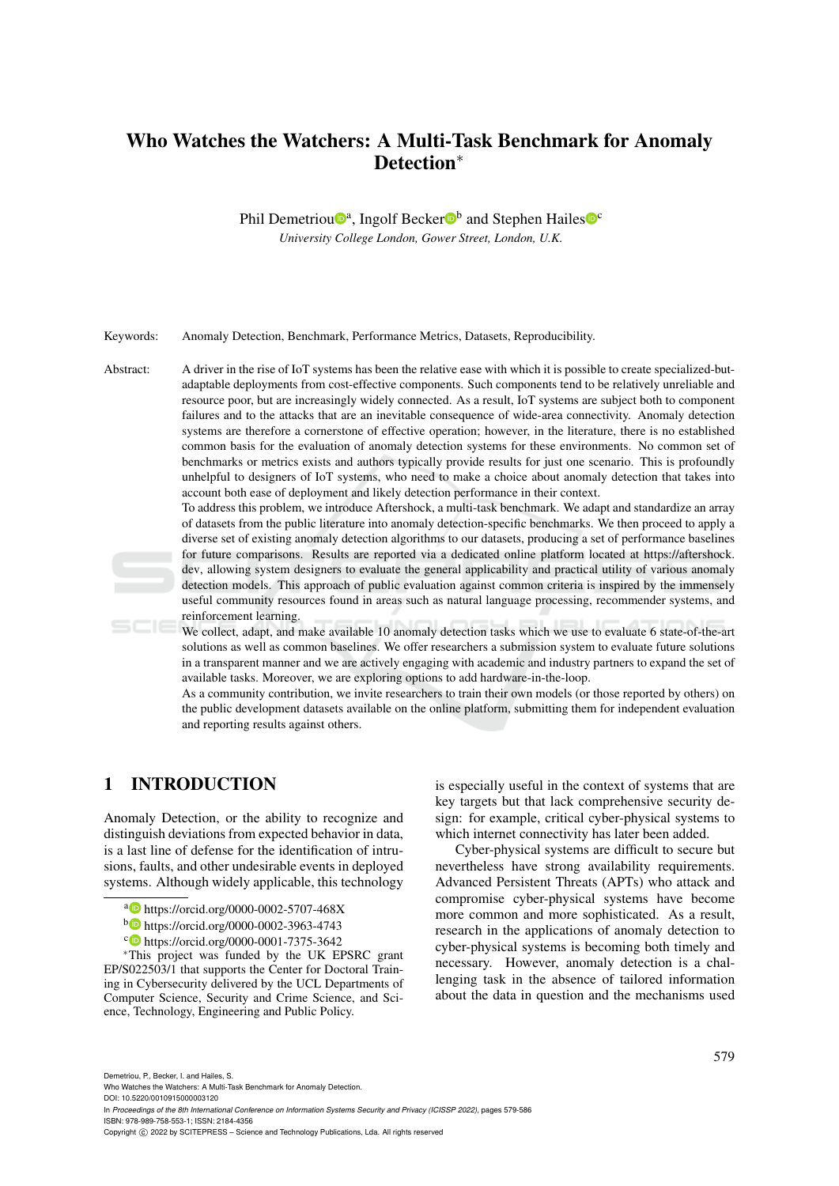# Who Watches the Watchers: A Multi-Task Benchmark for Anomaly Detection<sup>\*</sup>

Phil Demetriou<sup>®</sup>, Ingolf Becker<sup>®</sup> and Stephen Hailes<sup>®</sup>

*University College London, Gower Street, London, U.K.*

Keywords: Anomaly Detection, Benchmark, Performance Metrics, Datasets, Reproducibility.

Abstract: A driver in the rise of IoT systems has been the relative ease with which it is possible to create specialized-butadaptable deployments from cost-effective components. Such components tend to be relatively unreliable and resource poor, but are increasingly widely connected. As a result, IoT systems are subject both to component failures and to the attacks that are an inevitable consequence of wide-area connectivity. Anomaly detection systems are therefore a cornerstone of effective operation; however, in the literature, there is no established common basis for the evaluation of anomaly detection systems for these environments. No common set of benchmarks or metrics exists and authors typically provide results for just one scenario. This is profoundly unhelpful to designers of IoT systems, who need to make a choice about anomaly detection that takes into account both ease of deployment and likely detection performance in their context.

> To address this problem, we introduce Aftershock, a multi-task benchmark. We adapt and standardize an array of datasets from the public literature into anomaly detection-specific benchmarks. We then proceed to apply a diverse set of existing anomaly detection algorithms to our datasets, producing a set of performance baselines for future comparisons. Results are reported via a dedicated online platform located at https://aftershock. dev, allowing system designers to evaluate the general applicability and practical utility of various anomaly detection models. This approach of public evaluation against common criteria is inspired by the immensely useful community resources found in areas such as natural language processing, recommender systems, and reinforcement learning.

> We collect, adapt, and make available 10 anomaly detection tasks which we use to evaluate 6 state-of-the-art solutions as well as common baselines. We offer researchers a submission system to evaluate future solutions in a transparent manner and we are actively engaging with academic and industry partners to expand the set of available tasks. Moreover, we are exploring options to add hardware-in-the-loop.

> As a community contribution, we invite researchers to train their own models (or those reported by others) on the public development datasets available on the online platform, submitting them for independent evaluation and reporting results against others.

# 1 INTRODUCTION

Anomaly Detection, or the ability to recognize and distinguish deviations from expected behavior in data, is a last line of defense for the identification of intrusions, faults, and other undesirable events in deployed systems. Although widely applicable, this technology

- a https://orcid.org/0000-0002-5707-468X
- <sup>b</sup> https://orcid.org/0000-0002-3963-4743
- c https://orcid.org/0000-0001-7375-3642

<sup>∗</sup>This project was funded by the UK EPSRC grant EP/S022503/1 that supports the Center for Doctoral Training in Cybersecurity delivered by the UCL Departments of Computer Science, Security and Crime Science, and Sciis especially useful in the context of systems that are key targets but that lack comprehensive security design: for example, critical cyber-physical systems to which internet connectivity has later been added.

Cyber-physical systems are difficult to secure but nevertheless have strong availability requirements. Advanced Persistent Threats (APTs) who attack and compromise cyber-physical systems have become more common and more sophisticated. As a result, research in the applications of anomaly detection to cyber-physical systems is becoming both timely and necessary. However, anomaly detection is a challenging task in the absence of tailored information about the data in question and the mechanisms used

Demetriou, P., Becker, I. and Hailes, S.

Who Watches the Watchers: A Multi-Task Benchmark for Anomaly Detection.

ence, Technology, Engineering and Public Policy.

DOI: 10.5220/0010915000003120

In *Proceedings of the 8th International Conference on Information Systems Security and Privacy (ICISSP 2022)*, pages 579-586 ISBN: 978-989-758-553-1; ISSN: 2184-4356

Copyright (C) 2022 by SCITEPRESS - Science and Technology Publications, Lda. All rights reserved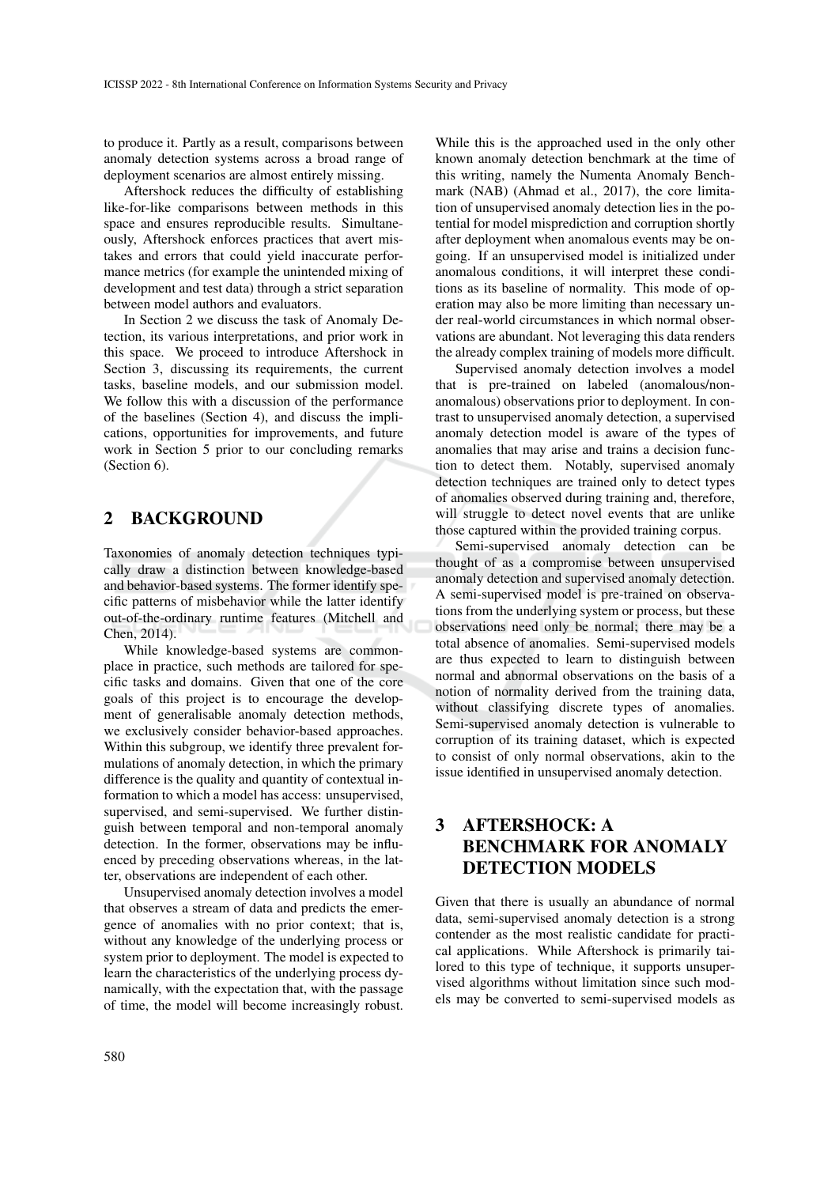to produce it. Partly as a result, comparisons between anomaly detection systems across a broad range of deployment scenarios are almost entirely missing.

Aftershock reduces the difficulty of establishing like-for-like comparisons between methods in this space and ensures reproducible results. Simultaneously, Aftershock enforces practices that avert mistakes and errors that could yield inaccurate performance metrics (for example the unintended mixing of development and test data) through a strict separation between model authors and evaluators.

In Section 2 we discuss the task of Anomaly Detection, its various interpretations, and prior work in this space. We proceed to introduce Aftershock in Section 3, discussing its requirements, the current tasks, baseline models, and our submission model. We follow this with a discussion of the performance of the baselines (Section 4), and discuss the implications, opportunities for improvements, and future work in Section 5 prior to our concluding remarks (Section 6).

# 2 BACKGROUND

Taxonomies of anomaly detection techniques typically draw a distinction between knowledge-based and behavior-based systems. The former identify specific patterns of misbehavior while the latter identify out-of-the-ordinary runtime features (Mitchell and Chen, 2014).

While knowledge-based systems are commonplace in practice, such methods are tailored for specific tasks and domains. Given that one of the core goals of this project is to encourage the development of generalisable anomaly detection methods, we exclusively consider behavior-based approaches. Within this subgroup, we identify three prevalent formulations of anomaly detection, in which the primary difference is the quality and quantity of contextual information to which a model has access: unsupervised, supervised, and semi-supervised. We further distinguish between temporal and non-temporal anomaly detection. In the former, observations may be influenced by preceding observations whereas, in the latter, observations are independent of each other.

Unsupervised anomaly detection involves a model that observes a stream of data and predicts the emergence of anomalies with no prior context; that is, without any knowledge of the underlying process or system prior to deployment. The model is expected to learn the characteristics of the underlying process dynamically, with the expectation that, with the passage of time, the model will become increasingly robust.

While this is the approached used in the only other known anomaly detection benchmark at the time of this writing, namely the Numenta Anomaly Benchmark (NAB) (Ahmad et al., 2017), the core limitation of unsupervised anomaly detection lies in the potential for model misprediction and corruption shortly after deployment when anomalous events may be ongoing. If an unsupervised model is initialized under anomalous conditions, it will interpret these conditions as its baseline of normality. This mode of operation may also be more limiting than necessary under real-world circumstances in which normal observations are abundant. Not leveraging this data renders the already complex training of models more difficult.

Supervised anomaly detection involves a model that is pre-trained on labeled (anomalous/nonanomalous) observations prior to deployment. In contrast to unsupervised anomaly detection, a supervised anomaly detection model is aware of the types of anomalies that may arise and trains a decision function to detect them. Notably, supervised anomaly detection techniques are trained only to detect types of anomalies observed during training and, therefore, will struggle to detect novel events that are unlike those captured within the provided training corpus.

Semi-supervised anomaly detection can be thought of as a compromise between unsupervised anomaly detection and supervised anomaly detection. A semi-supervised model is pre-trained on observations from the underlying system or process, but these observations need only be normal; there may be a total absence of anomalies. Semi-supervised models are thus expected to learn to distinguish between normal and abnormal observations on the basis of a notion of normality derived from the training data, without classifying discrete types of anomalies. Semi-supervised anomaly detection is vulnerable to corruption of its training dataset, which is expected to consist of only normal observations, akin to the issue identified in unsupervised anomaly detection.

# 3 AFTERSHOCK: A BENCHMARK FOR ANOMALY DETECTION MODELS

Given that there is usually an abundance of normal data, semi-supervised anomaly detection is a strong contender as the most realistic candidate for practical applications. While Aftershock is primarily tailored to this type of technique, it supports unsupervised algorithms without limitation since such models may be converted to semi-supervised models as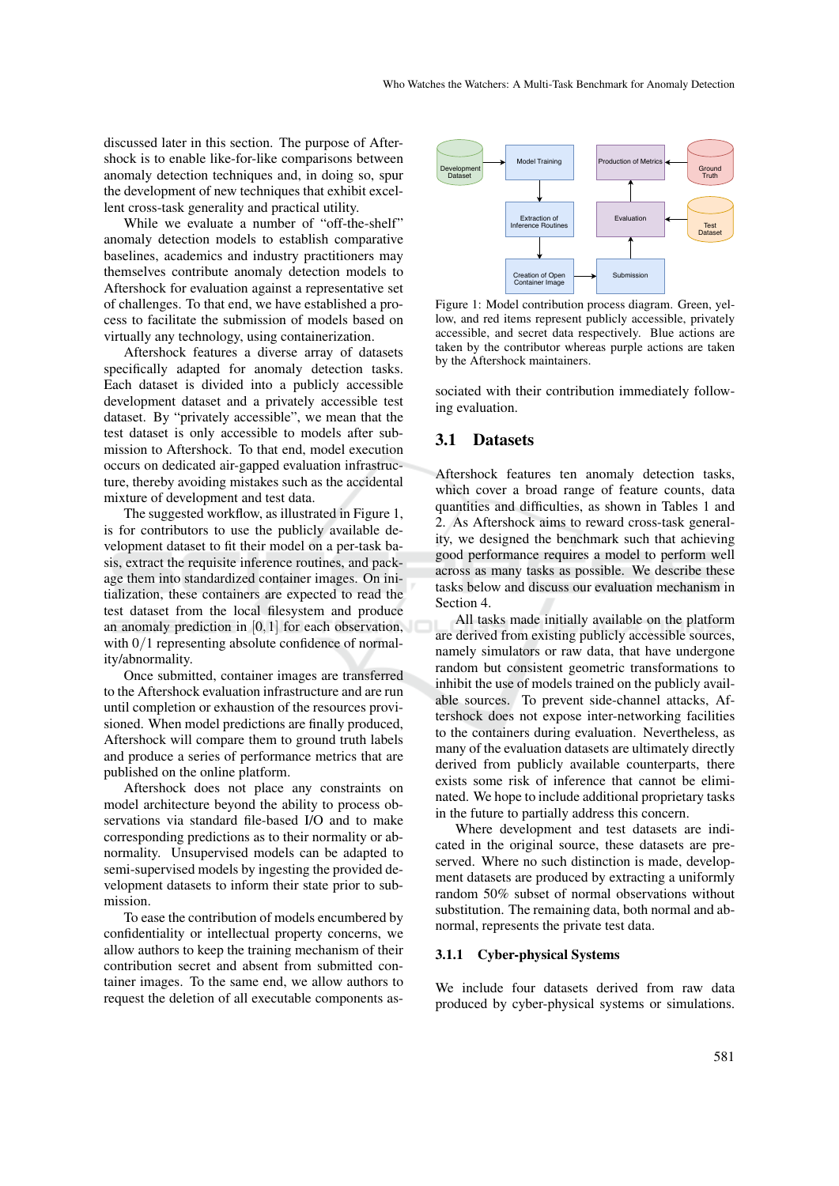discussed later in this section. The purpose of Aftershock is to enable like-for-like comparisons between anomaly detection techniques and, in doing so, spur the development of new techniques that exhibit excellent cross-task generality and practical utility.

While we evaluate a number of "off-the-shelf" anomaly detection models to establish comparative baselines, academics and industry practitioners may themselves contribute anomaly detection models to Aftershock for evaluation against a representative set of challenges. To that end, we have established a process to facilitate the submission of models based on virtually any technology, using containerization.

Aftershock features a diverse array of datasets specifically adapted for anomaly detection tasks. Each dataset is divided into a publicly accessible development dataset and a privately accessible test dataset. By "privately accessible", we mean that the test dataset is only accessible to models after submission to Aftershock. To that end, model execution occurs on dedicated air-gapped evaluation infrastructure, thereby avoiding mistakes such as the accidental mixture of development and test data.

The suggested workflow, as illustrated in Figure 1, is for contributors to use the publicly available development dataset to fit their model on a per-task basis, extract the requisite inference routines, and package them into standardized container images. On initialization, these containers are expected to read the test dataset from the local filesystem and produce an anomaly prediction in [0,1] for each observation, with  $0/1$  representing absolute confidence of normality/abnormality.

Once submitted, container images are transferred to the Aftershock evaluation infrastructure and are run until completion or exhaustion of the resources provisioned. When model predictions are finally produced, Aftershock will compare them to ground truth labels and produce a series of performance metrics that are published on the online platform.

Aftershock does not place any constraints on model architecture beyond the ability to process observations via standard file-based I/O and to make corresponding predictions as to their normality or abnormality. Unsupervised models can be adapted to semi-supervised models by ingesting the provided development datasets to inform their state prior to submission.

To ease the contribution of models encumbered by confidentiality or intellectual property concerns, we allow authors to keep the training mechanism of their contribution secret and absent from submitted container images. To the same end, we allow authors to request the deletion of all executable components as-



Figure 1: Model contribution process diagram. Green, yellow, and red items represent publicly accessible, privately accessible, and secret data respectively. Blue actions are taken by the contributor whereas purple actions are taken by the Aftershock maintainers.

sociated with their contribution immediately following evaluation.

### 3.1 Datasets

Aftershock features ten anomaly detection tasks, which cover a broad range of feature counts, data quantities and difficulties, as shown in Tables 1 and 2. As Aftershock aims to reward cross-task generality, we designed the benchmark such that achieving good performance requires a model to perform well across as many tasks as possible. We describe these tasks below and discuss our evaluation mechanism in Section 4.

All tasks made initially available on the platform are derived from existing publicly accessible sources, namely simulators or raw data, that have undergone random but consistent geometric transformations to inhibit the use of models trained on the publicly available sources. To prevent side-channel attacks, Aftershock does not expose inter-networking facilities to the containers during evaluation. Nevertheless, as many of the evaluation datasets are ultimately directly derived from publicly available counterparts, there exists some risk of inference that cannot be eliminated. We hope to include additional proprietary tasks in the future to partially address this concern.

Where development and test datasets are indicated in the original source, these datasets are preserved. Where no such distinction is made, development datasets are produced by extracting a uniformly random 50% subset of normal observations without substitution. The remaining data, both normal and abnormal, represents the private test data.

#### 3.1.1 Cyber-physical Systems

We include four datasets derived from raw data produced by cyber-physical systems or simulations.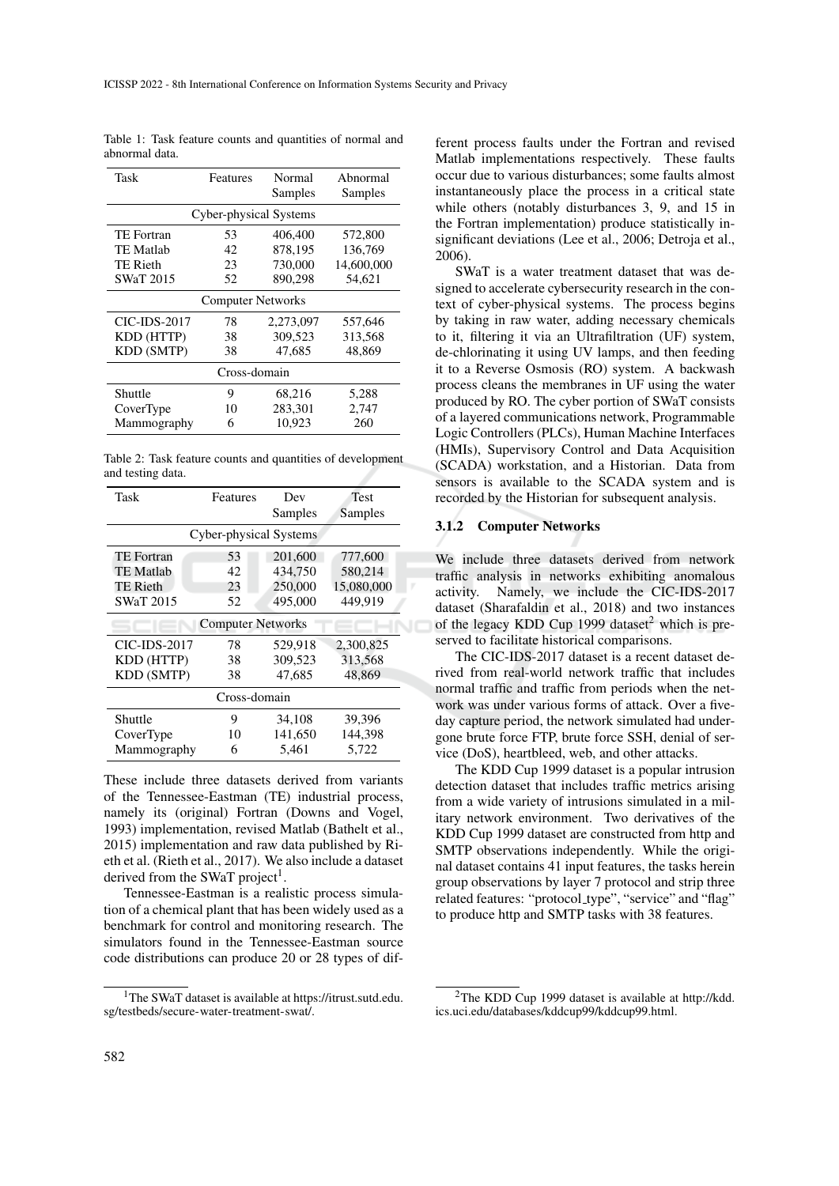Table 1: Task feature counts and quantities of normal and abnormal data.

| Task                     | Features     | Normal<br>Samples | Abnormal<br>Samples |  |  |  |
|--------------------------|--------------|-------------------|---------------------|--|--|--|
| Cyber-physical Systems   |              |                   |                     |  |  |  |
| TE Fortran               | 53           | 406,400           | 572,800             |  |  |  |
| <b>TE Matlab</b>         | 42           | 878,195           | 136,769             |  |  |  |
| <b>TE Rieth</b>          | 23           | 730,000           | 14,600,000          |  |  |  |
| <b>SWaT 2015</b>         | 52           | 890.298           | 54,621              |  |  |  |
| <b>Computer Networks</b> |              |                   |                     |  |  |  |
| CIC-IDS-2017             | 78           | 2,273,097         | 557,646             |  |  |  |
| KDD (HTTP)               | 38           | 309.523           | 313,568             |  |  |  |
| KDD (SMTP)               | 47,685<br>38 |                   | 48,869              |  |  |  |
| Cross-domain             |              |                   |                     |  |  |  |
| Shuttle                  | 9            | 68,216            | 5,288               |  |  |  |
| CoverType                | 10           | 283,301           | 2,747               |  |  |  |
| Mammography              | 6            | 10,923            | 260                 |  |  |  |

Table 2: Task feature counts and quantities of development and testing data.

| Task                     | Features | Dev<br>Samples   | <b>Test</b><br>Samples |  |  |  |
|--------------------------|----------|------------------|------------------------|--|--|--|
| Cyber-physical Systems   |          |                  |                        |  |  |  |
| <b>TE</b> Fortran        | 53       | 201,600          | 777,600                |  |  |  |
| <b>TE Matlab</b>         | 42       | 434,750          | 580,214                |  |  |  |
| <b>TE Rieth</b>          | 23       | 250,000          | 15,080,000             |  |  |  |
| <b>SWaT 2015</b>         | 52       | 495,000          | 449,919                |  |  |  |
| <b>Computer Networks</b> |          |                  |                        |  |  |  |
| <b>CIC-IDS-2017</b>      | 78       | 529,918          | 2,300,825              |  |  |  |
| KDD (HTTP)               | 38       | 309,523          | 313,568                |  |  |  |
| <b>KDD (SMTP)</b>        | 38       | 47,685<br>48,869 |                        |  |  |  |
| Cross-domain             |          |                  |                        |  |  |  |
| Shuttle                  | 9        | 34,108           | 39,396                 |  |  |  |
| CoverType                | 10       | 141,650          | 144,398                |  |  |  |
| Mammography              | 6        | 5,461            | 5.722                  |  |  |  |

These include three datasets derived from variants of the Tennessee-Eastman (TE) industrial process, namely its (original) Fortran (Downs and Vogel, 1993) implementation, revised Matlab (Bathelt et al., 2015) implementation and raw data published by Rieth et al. (Rieth et al., 2017). We also include a dataset derived from the SWaT project<sup>1</sup>.

Tennessee-Eastman is a realistic process simulation of a chemical plant that has been widely used as a benchmark for control and monitoring research. The simulators found in the Tennessee-Eastman source code distributions can produce 20 or 28 types of different process faults under the Fortran and revised Matlab implementations respectively. These faults occur due to various disturbances; some faults almost instantaneously place the process in a critical state while others (notably disturbances 3, 9, and 15 in the Fortran implementation) produce statistically insignificant deviations (Lee et al., 2006; Detroja et al., 2006).

SWaT is a water treatment dataset that was designed to accelerate cybersecurity research in the context of cyber-physical systems. The process begins by taking in raw water, adding necessary chemicals to it, filtering it via an Ultrafiltration (UF) system, de-chlorinating it using UV lamps, and then feeding it to a Reverse Osmosis (RO) system. A backwash process cleans the membranes in UF using the water produced by RO. The cyber portion of SWaT consists of a layered communications network, Programmable Logic Controllers (PLCs), Human Machine Interfaces (HMIs), Supervisory Control and Data Acquisition (SCADA) workstation, and a Historian. Data from sensors is available to the SCADA system and is recorded by the Historian for subsequent analysis.

### 3.1.2 Computer Networks

We include three datasets derived from network traffic analysis in networks exhibiting anomalous activity. Namely, we include the CIC-IDS-2017 dataset (Sharafaldin et al., 2018) and two instances of the legacy KDD Cup 1999 dataset<sup>2</sup> which is preserved to facilitate historical comparisons.

The CIC-IDS-2017 dataset is a recent dataset derived from real-world network traffic that includes normal traffic and traffic from periods when the network was under various forms of attack. Over a fiveday capture period, the network simulated had undergone brute force FTP, brute force SSH, denial of service (DoS), heartbleed, web, and other attacks.

The KDD Cup 1999 dataset is a popular intrusion detection dataset that includes traffic metrics arising from a wide variety of intrusions simulated in a military network environment. Two derivatives of the KDD Cup 1999 dataset are constructed from http and SMTP observations independently. While the original dataset contains 41 input features, the tasks herein group observations by layer 7 protocol and strip three related features: "protocol\_type", "service" and "flag" to produce http and SMTP tasks with 38 features.

<sup>1</sup>The SWaT dataset is available at https://itrust.sutd.edu. sg/testbeds/secure-water-treatment-swat/.

<sup>2</sup>The KDD Cup 1999 dataset is available at http://kdd. ics.uci.edu/databases/kddcup99/kddcup99.html.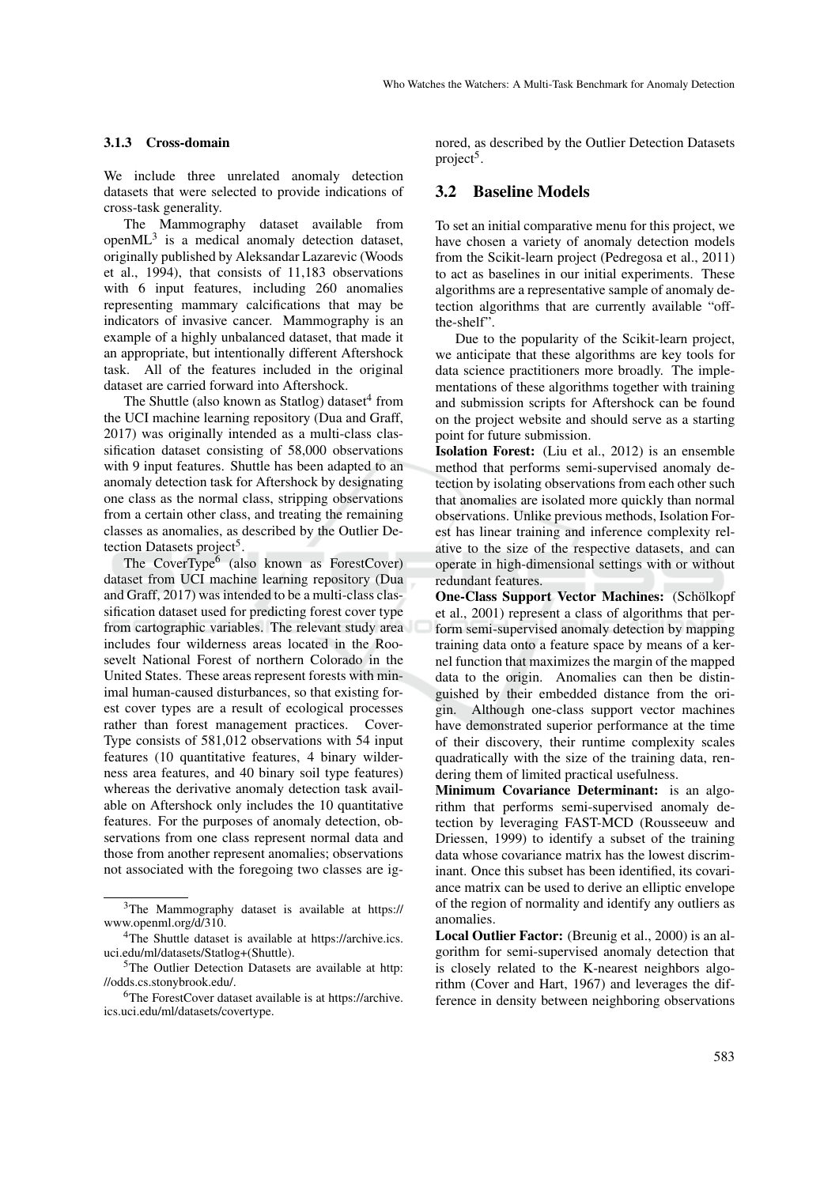#### 3.1.3 Cross-domain

We include three unrelated anomaly detection datasets that were selected to provide indications of cross-task generality.

The Mammography dataset available from open $ML^3$  is a medical anomaly detection dataset, originally published by Aleksandar Lazarevic (Woods et al., 1994), that consists of 11,183 observations with 6 input features, including 260 anomalies representing mammary calcifications that may be indicators of invasive cancer. Mammography is an example of a highly unbalanced dataset, that made it an appropriate, but intentionally different Aftershock task. All of the features included in the original dataset are carried forward into Aftershock.

The Shuttle (also known as Statlog) dataset<sup>4</sup> from the UCI machine learning repository (Dua and Graff, 2017) was originally intended as a multi-class classification dataset consisting of 58,000 observations with 9 input features. Shuttle has been adapted to an anomaly detection task for Aftershock by designating one class as the normal class, stripping observations from a certain other class, and treating the remaining classes as anomalies, as described by the Outlier Detection Datasets project<sup>5</sup>.

The CoverType<sup>6</sup> (also known as ForestCover) dataset from UCI machine learning repository (Dua and Graff, 2017) was intended to be a multi-class classification dataset used for predicting forest cover type from cartographic variables. The relevant study area includes four wilderness areas located in the Roosevelt National Forest of northern Colorado in the United States. These areas represent forests with minimal human-caused disturbances, so that existing forest cover types are a result of ecological processes rather than forest management practices. Cover-Type consists of 581,012 observations with 54 input features (10 quantitative features, 4 binary wilderness area features, and 40 binary soil type features) whereas the derivative anomaly detection task available on Aftershock only includes the 10 quantitative features. For the purposes of anomaly detection, observations from one class represent normal data and those from another represent anomalies; observations not associated with the foregoing two classes are ignored, as described by the Outlier Detection Datasets project<sup>5</sup>.

## 3.2 Baseline Models

To set an initial comparative menu for this project, we have chosen a variety of anomaly detection models from the Scikit-learn project (Pedregosa et al., 2011) to act as baselines in our initial experiments. These algorithms are a representative sample of anomaly detection algorithms that are currently available "offthe-shelf".

Due to the popularity of the Scikit-learn project, we anticipate that these algorithms are key tools for data science practitioners more broadly. The implementations of these algorithms together with training and submission scripts for Aftershock can be found on the project website and should serve as a starting point for future submission.

Isolation Forest: (Liu et al., 2012) is an ensemble method that performs semi-supervised anomaly detection by isolating observations from each other such that anomalies are isolated more quickly than normal observations. Unlike previous methods, Isolation Forest has linear training and inference complexity relative to the size of the respective datasets, and can operate in high-dimensional settings with or without redundant features.

One-Class Support Vector Machines: (Schölkopf et al., 2001) represent a class of algorithms that perform semi-supervised anomaly detection by mapping training data onto a feature space by means of a kernel function that maximizes the margin of the mapped data to the origin. Anomalies can then be distinguished by their embedded distance from the origin. Although one-class support vector machines have demonstrated superior performance at the time of their discovery, their runtime complexity scales quadratically with the size of the training data, rendering them of limited practical usefulness.

Minimum Covariance Determinant: is an algorithm that performs semi-supervised anomaly detection by leveraging FAST-MCD (Rousseeuw and Driessen, 1999) to identify a subset of the training data whose covariance matrix has the lowest discriminant. Once this subset has been identified, its covariance matrix can be used to derive an elliptic envelope of the region of normality and identify any outliers as anomalies.

Local Outlier Factor: (Breunig et al., 2000) is an algorithm for semi-supervised anomaly detection that is closely related to the K-nearest neighbors algorithm (Cover and Hart, 1967) and leverages the difference in density between neighboring observations

<sup>3</sup>The Mammography dataset is available at https:// www.openml.org/d/310.

<sup>4</sup>The Shuttle dataset is available at https://archive.ics. uci.edu/ml/datasets/Statlog+(Shuttle).

<sup>5</sup>The Outlier Detection Datasets are available at http: //odds.cs.stonybrook.edu/.

<sup>6</sup>The ForestCover dataset available is at https://archive. ics.uci.edu/ml/datasets/covertype.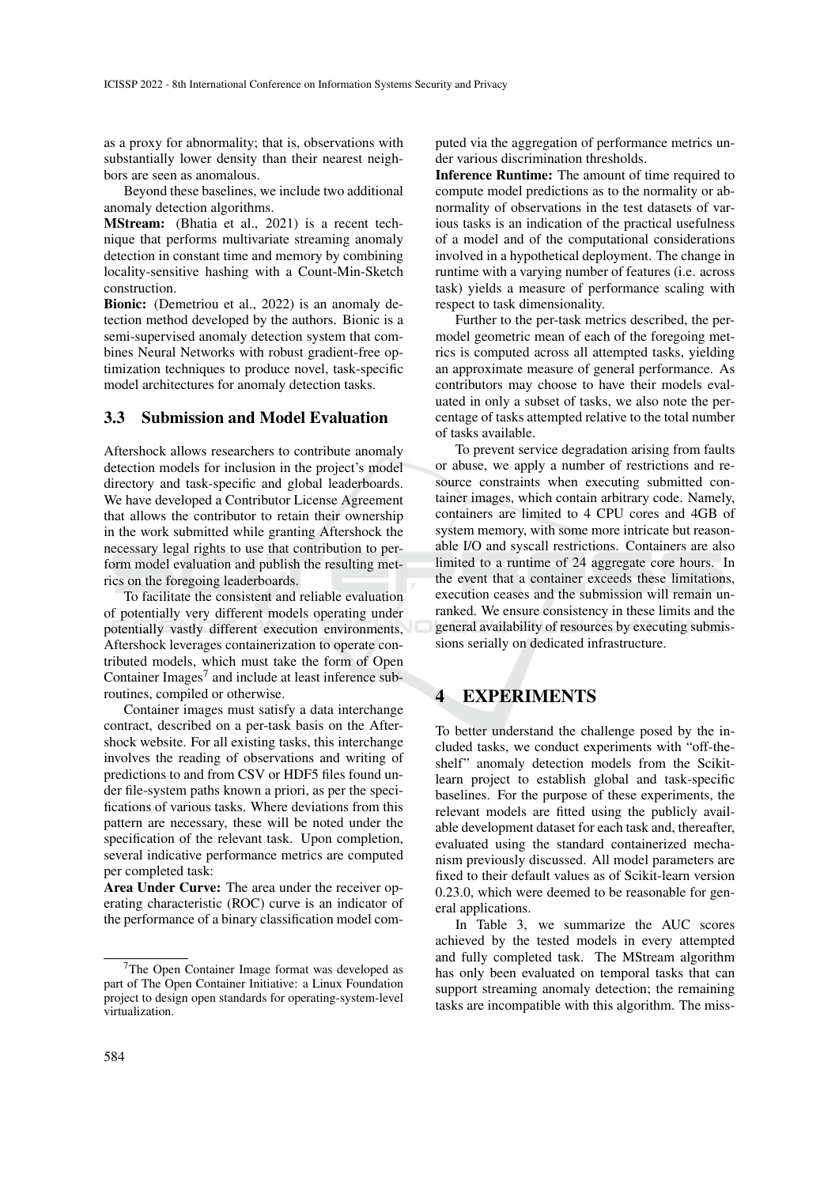as a proxy for abnormality; that is, observations with substantially lower density than their nearest neighbors are seen as anomalous.

Beyond these baselines, we include two additional anomaly detection algorithms.

MStream: (Bhatia et al., 2021) is a recent technique that performs multivariate streaming anomaly detection in constant time and memory by combining locality-sensitive hashing with a Count-Min-Sketch construction.

Bionic: (Demetriou et al., 2022) is an anomaly detection method developed by the authors. Bionic is a semi-supervised anomaly detection system that combines Neural Networks with robust gradient-free optimization techniques to produce novel, task-specific model architectures for anomaly detection tasks.

## 3.3 Submission and Model Evaluation

Aftershock allows researchers to contribute anomaly detection models for inclusion in the project's model directory and task-specific and global leaderboards. We have developed a Contributor License Agreement that allows the contributor to retain their ownership in the work submitted while granting Aftershock the necessary legal rights to use that contribution to perform model evaluation and publish the resulting metrics on the foregoing leaderboards.

To facilitate the consistent and reliable evaluation of potentially very different models operating under potentially vastly different execution environments, Aftershock leverages containerization to operate contributed models, which must take the form of Open Container Images<sup>7</sup> and include at least inference subroutines, compiled or otherwise.

Container images must satisfy a data interchange contract, described on a per-task basis on the Aftershock website. For all existing tasks, this interchange involves the reading of observations and writing of predictions to and from CSV or HDF5 files found under file-system paths known a priori, as per the specifications of various tasks. Where deviations from this pattern are necessary, these will be noted under the specification of the relevant task. Upon completion, several indicative performance metrics are computed per completed task:

Area Under Curve: The area under the receiver operating characteristic (ROC) curve is an indicator of the performance of a binary classification model computed via the aggregation of performance metrics under various discrimination thresholds.

Inference Runtime: The amount of time required to compute model predictions as to the normality or abnormality of observations in the test datasets of various tasks is an indication of the practical usefulness of a model and of the computational considerations involved in a hypothetical deployment. The change in runtime with a varying number of features (i.e. across task) yields a measure of performance scaling with respect to task dimensionality.

Further to the per-task metrics described, the permodel geometric mean of each of the foregoing metrics is computed across all attempted tasks, yielding an approximate measure of general performance. As contributors may choose to have their models evaluated in only a subset of tasks, we also note the percentage of tasks attempted relative to the total number of tasks available.

To prevent service degradation arising from faults or abuse, we apply a number of restrictions and resource constraints when executing submitted container images, which contain arbitrary code. Namely, containers are limited to 4 CPU cores and 4GB of system memory, with some more intricate but reasonable I/O and syscall restrictions. Containers are also limited to a runtime of 24 aggregate core hours. In the event that a container exceeds these limitations, execution ceases and the submission will remain unranked. We ensure consistency in these limits and the general availability of resources by executing submissions serially on dedicated infrastructure.

## 4 EXPERIMENTS

To better understand the challenge posed by the included tasks, we conduct experiments with "off-theshelf" anomaly detection models from the Scikitlearn project to establish global and task-specific baselines. For the purpose of these experiments, the relevant models are fitted using the publicly available development dataset for each task and, thereafter, evaluated using the standard containerized mechanism previously discussed. All model parameters are fixed to their default values as of Scikit-learn version 0.23.0, which were deemed to be reasonable for general applications.

In Table 3, we summarize the AUC scores achieved by the tested models in every attempted and fully completed task. The MStream algorithm has only been evaluated on temporal tasks that can support streaming anomaly detection; the remaining tasks are incompatible with this algorithm. The miss-

<sup>7</sup>The Open Container Image format was developed as part of The Open Container Initiative: a Linux Foundation project to design open standards for operating-system-level virtualization.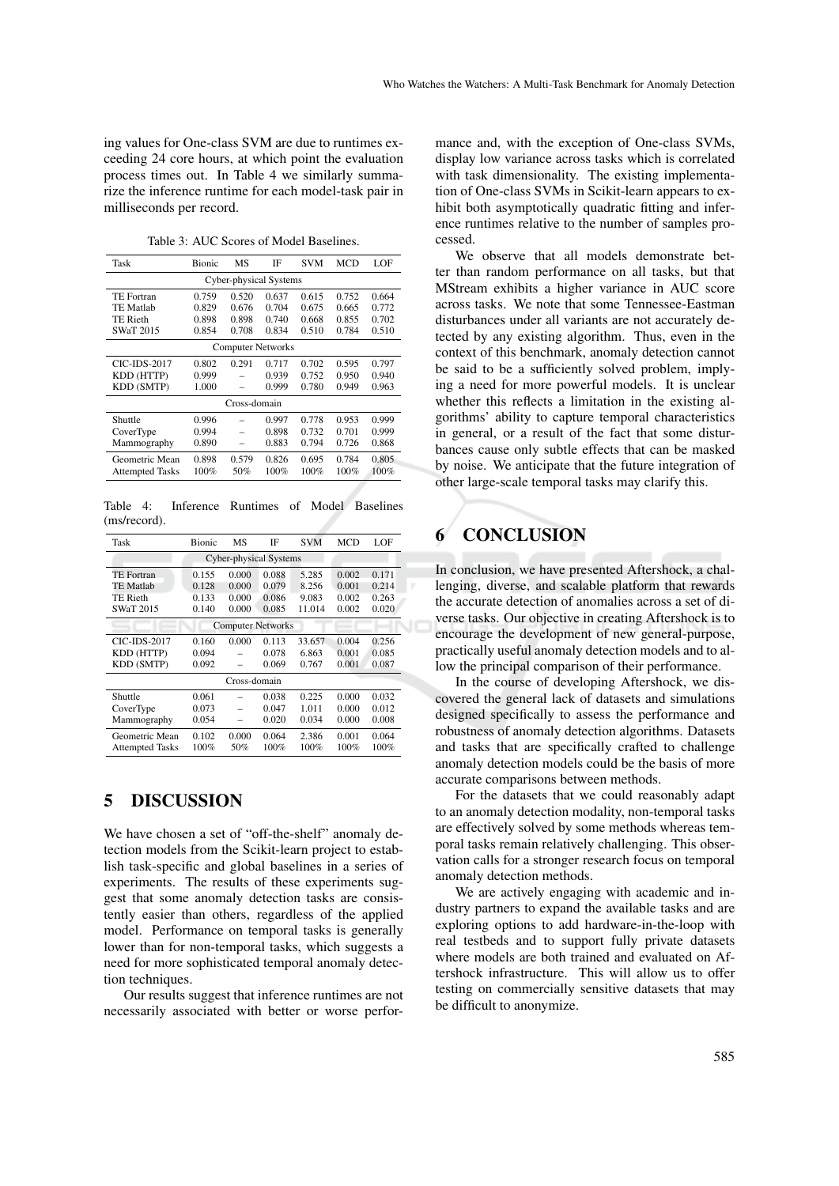ing values for One-class SVM are due to runtimes exceeding 24 core hours, at which point the evaluation process times out. In Table 4 we similarly summarize the inference runtime for each model-task pair in milliseconds per record.

Table 3: AUC Scores of Model Baselines.

| Task                     | Bionic | МS    | ΙF    | <b>SVM</b> | <b>MCD</b> | LOF   |
|--------------------------|--------|-------|-------|------------|------------|-------|
| Cyber-physical Systems   |        |       |       |            |            |       |
| <b>TE</b> Fortran        | 0.759  | 0.520 | 0.637 | 0.615      | 0.752      | 0.664 |
| <b>TE Matlab</b>         | 0.829  | 0.676 | 0.704 | 0.675      | 0.665      | 0.772 |
| <b>TE Rieth</b>          | 0.898  | 0.898 | 0.740 | 0.668      | 0.855      | 0.702 |
| <b>SWaT 2015</b>         | 0.854  | 0.708 | 0.834 | 0.510      | 0.784      | 0.510 |
| <b>Computer Networks</b> |        |       |       |            |            |       |
| <b>CIC-IDS-2017</b>      | 0.802  | 0.291 | 0.717 | 0.702      | 0.595      | 0.797 |
| KDD (HTTP)               | 0.999  |       | 0.939 | 0.752      | 0.950      | 0.940 |
| <b>KDD (SMTP)</b>        | 1.000  |       | 0.999 | 0.780      | 0.949      | 0.963 |
| Cross-domain             |        |       |       |            |            |       |
| Shuttle                  | 0.996  |       | 0.997 | 0.778      | 0.953      | 0.999 |
| CoverType                | 0.994  |       | 0.898 | 0.732      | 0.701      | 0.999 |
| Mammography              | 0.890  |       | 0.883 | 0.794      | 0.726      | 0.868 |
| Geometric Mean           | 0.898  | 0.579 | 0.826 | 0.695      | 0.784      | 0.805 |
| <b>Attempted Tasks</b>   | 100%   | 50%   | 100%  | $100\%$    | 100%       | 100%  |

Table 4: Inference Runtimes of Model Baselines (ms/record).

| Task                          | Bionic | MS    | ΙF    | <b>SVM</b> | MCD   | LOF     |
|-------------------------------|--------|-------|-------|------------|-------|---------|
| <b>Cyber-physical Systems</b> |        |       |       |            |       |         |
| <b>TE</b> Fortran             | 0.155  | 0.000 | 0.088 | 5.285      | 0.002 | 0.171   |
| <b>TE Matlab</b>              | 0.128  | 0.000 | 0.079 | 8.256      | 0.001 | 0.214   |
| <b>TE Rieth</b>               | 0.133  | 0.000 | 0.086 | 9.083      | 0.002 | 0.263   |
| <b>SWaT 2015</b>              | 0.140  | 0.000 | 0.085 | 11.014     | 0.002 | 0.020   |
| <b>Computer Networks</b>      |        |       |       |            |       |         |
| <b>CIC-IDS-2017</b>           | 0.160  | 0.000 | 0.113 | 33.657     | 0.004 | 0.256   |
| KDD (HTTP)                    | 0.094  |       | 0.078 | 6.863      | 0.001 | 0.085   |
| KDD (SMTP)                    | 0.092  |       | 0.069 | 0.767      | 0.001 | 0.087   |
| Cross-domain                  |        |       |       |            |       |         |
| Shuttle                       | 0.061  |       | 0.038 | 0.225      | 0.000 | 0.032   |
| CoverType                     | 0.073  |       | 0.047 | 1.011      | 0.000 | 0.012   |
| Mammography                   | 0.054  |       | 0.020 | 0.034      | 0.000 | 0.008   |
| Geometric Mean                | 0.102  | 0.000 | 0.064 | 2.386      | 0.001 | 0.064   |
| <b>Attempted Tasks</b>        | 100%   | 50%   | 100%  | 100%       | 100%  | $100\%$ |

## 5 DISCUSSION

We have chosen a set of "off-the-shelf" anomaly detection models from the Scikit-learn project to establish task-specific and global baselines in a series of experiments. The results of these experiments suggest that some anomaly detection tasks are consistently easier than others, regardless of the applied model. Performance on temporal tasks is generally lower than for non-temporal tasks, which suggests a need for more sophisticated temporal anomaly detection techniques.

Our results suggest that inference runtimes are not necessarily associated with better or worse perfor-

mance and, with the exception of One-class SVMs, display low variance across tasks which is correlated with task dimensionality. The existing implementation of One-class SVMs in Scikit-learn appears to exhibit both asymptotically quadratic fitting and inference runtimes relative to the number of samples processed.

We observe that all models demonstrate better than random performance on all tasks, but that MStream exhibits a higher variance in AUC score across tasks. We note that some Tennessee-Eastman disturbances under all variants are not accurately detected by any existing algorithm. Thus, even in the context of this benchmark, anomaly detection cannot be said to be a sufficiently solved problem, implying a need for more powerful models. It is unclear whether this reflects a limitation in the existing algorithms' ability to capture temporal characteristics in general, or a result of the fact that some disturbances cause only subtle effects that can be masked by noise. We anticipate that the future integration of other large-scale temporal tasks may clarify this.

# 6 CONCLUSION

In conclusion, we have presented Aftershock, a challenging, diverse, and scalable platform that rewards the accurate detection of anomalies across a set of diverse tasks. Our objective in creating Aftershock is to encourage the development of new general-purpose, practically useful anomaly detection models and to allow the principal comparison of their performance.

In the course of developing Aftershock, we discovered the general lack of datasets and simulations designed specifically to assess the performance and robustness of anomaly detection algorithms. Datasets and tasks that are specifically crafted to challenge anomaly detection models could be the basis of more accurate comparisons between methods.

For the datasets that we could reasonably adapt to an anomaly detection modality, non-temporal tasks are effectively solved by some methods whereas temporal tasks remain relatively challenging. This observation calls for a stronger research focus on temporal anomaly detection methods.

We are actively engaging with academic and industry partners to expand the available tasks and are exploring options to add hardware-in-the-loop with real testbeds and to support fully private datasets where models are both trained and evaluated on Aftershock infrastructure. This will allow us to offer testing on commercially sensitive datasets that may be difficult to anonymize.